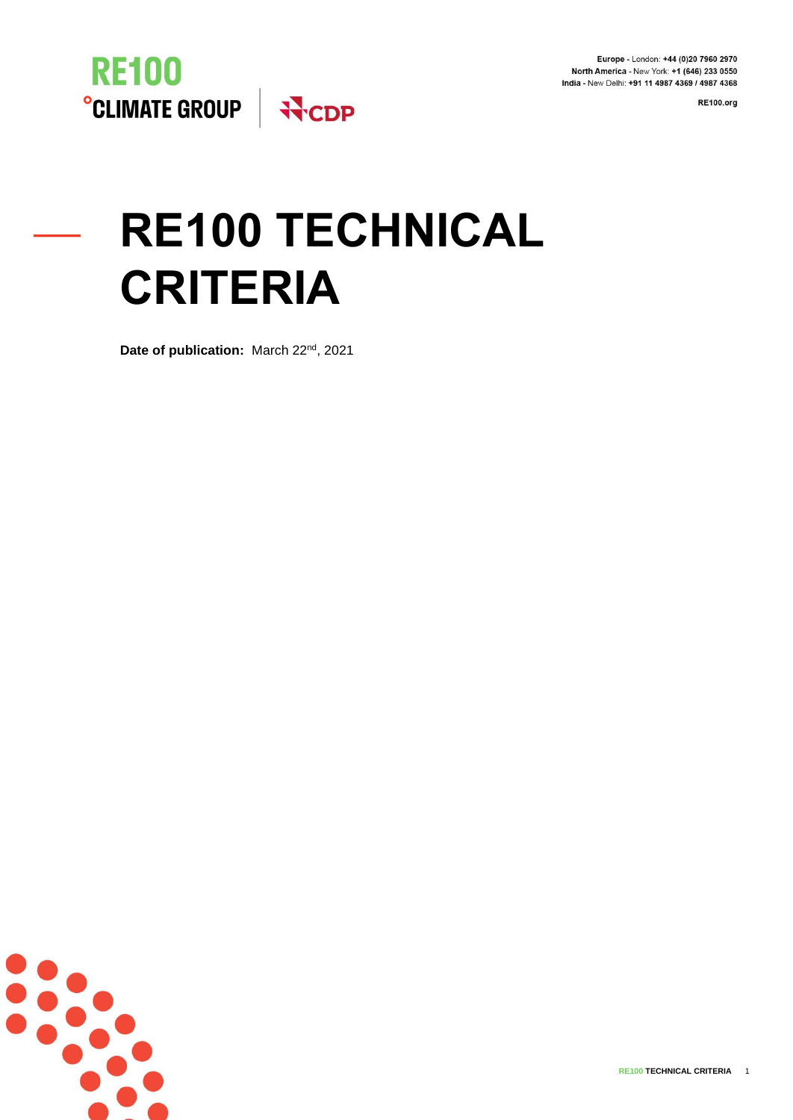Europe - London: +44 (0)20 7960 2970 North America - New York: +1 (646) 233 0550 India - New Delhi: +91 11 4987 4369 / 4987 4368

**RE100.org** 



# **RE100 TECHNICAL CRITERIA**

**Date of publication:** March 22nd, 2021

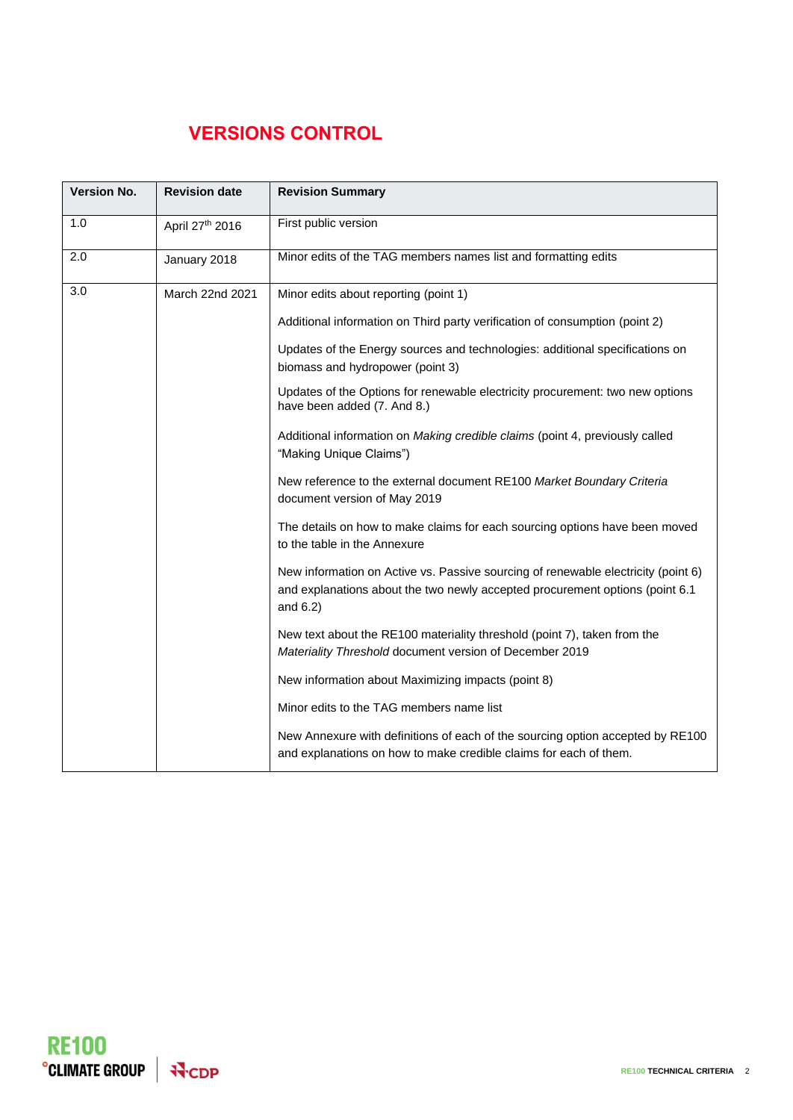## **VERSIONS CONTROL**

| <b>Version No.</b> | <b>Revision date</b> | <b>Revision Summary</b>                                                                                                                                                          |
|--------------------|----------------------|----------------------------------------------------------------------------------------------------------------------------------------------------------------------------------|
| 1.0                | April 27th 2016      | First public version                                                                                                                                                             |
| 2.0                | January 2018         | Minor edits of the TAG members names list and formatting edits                                                                                                                   |
| 3.0                | March 22nd 2021      | Minor edits about reporting (point 1)                                                                                                                                            |
|                    |                      | Additional information on Third party verification of consumption (point 2)                                                                                                      |
|                    |                      | Updates of the Energy sources and technologies: additional specifications on<br>biomass and hydropower (point 3)                                                                 |
|                    |                      | Updates of the Options for renewable electricity procurement: two new options<br>have been added (7. And 8.)                                                                     |
|                    |                      | Additional information on Making credible claims (point 4, previously called<br>"Making Unique Claims")                                                                          |
|                    |                      | New reference to the external document RE100 Market Boundary Criteria<br>document version of May 2019                                                                            |
|                    |                      | The details on how to make claims for each sourcing options have been moved<br>to the table in the Annexure                                                                      |
|                    |                      | New information on Active vs. Passive sourcing of renewable electricity (point 6)<br>and explanations about the two newly accepted procurement options (point 6.1<br>and $6.2$ ) |
|                    |                      | New text about the RE100 materiality threshold (point 7), taken from the<br>Materiality Threshold document version of December 2019                                              |
|                    |                      | New information about Maximizing impacts (point 8)                                                                                                                               |
|                    |                      | Minor edits to the TAG members name list                                                                                                                                         |
|                    |                      | New Annexure with definitions of each of the sourcing option accepted by RE100<br>and explanations on how to make credible claims for each of them.                              |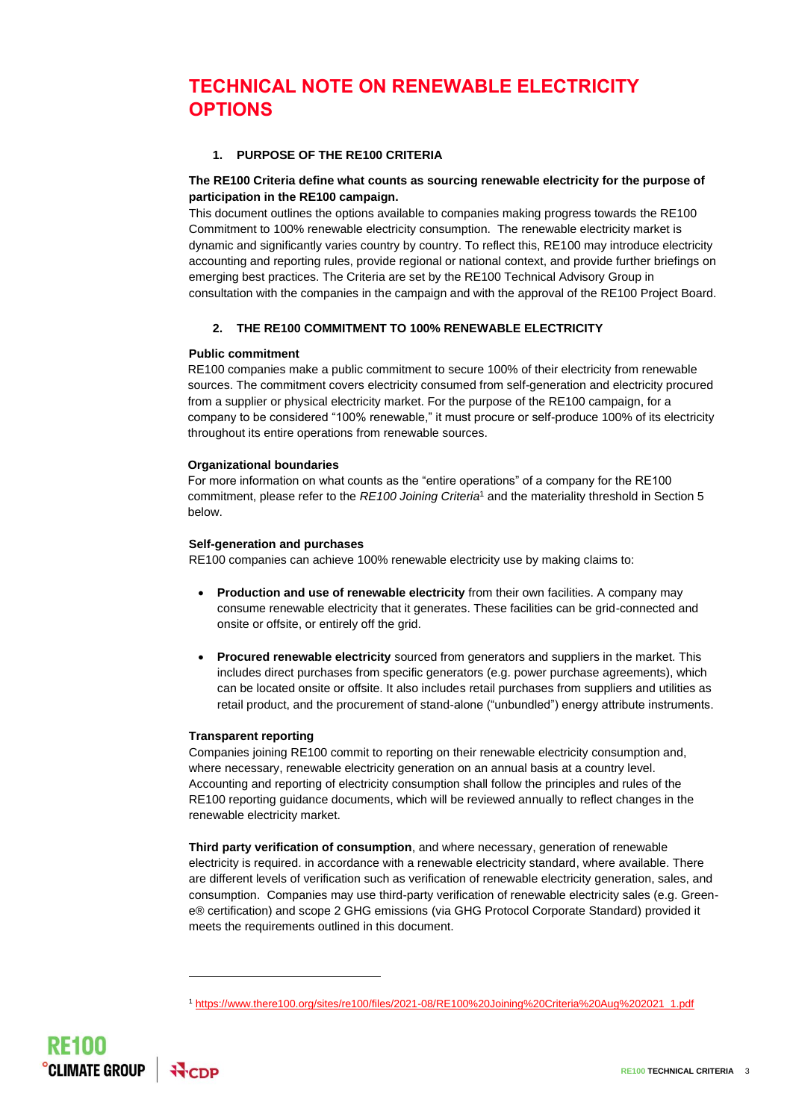### **TECHNICAL NOTE ON RENEWABLE ELECTRICITY OPTIONS**

#### **1. PURPOSE OF THE RE100 CRITERIA**

#### **The RE100 Criteria define what counts as sourcing renewable electricity for the purpose of participation in the RE100 campaign.**

This document outlines the options available to companies making progress towards the RE100 Commitment to 100% renewable electricity consumption. The renewable electricity market is dynamic and significantly varies country by country. To reflect this, RE100 may introduce electricity accounting and reporting rules, provide regional or national context, and provide further briefings on emerging best practices. The Criteria are set by the RE100 Technical Advisory Group in consultation with the companies in the campaign and with the approval of the RE100 Project Board.

#### **2. THE RE100 COMMITMENT TO 100% RENEWABLE ELECTRICITY**

#### **Public commitment**

RE100 companies make a public commitment to secure 100% of their electricity from renewable sources. The commitment covers electricity consumed from self-generation and electricity procured from a supplier or physical electricity market. For the purpose of the RE100 campaign, for a company to be considered "100% renewable," it must procure or self-produce 100% of its electricity throughout its entire operations from renewable sources.

#### **Organizational boundaries**

For more information on what counts as the "entire operations" of a company for the RE100 commitment, please refer to the *RE100 Joining Criteria*<sup>1</sup> and the materiality threshold in Section 5 below.

#### **Self-generation and purchases**

RE100 companies can achieve 100% renewable electricity use by making claims to:

- **Production and use of renewable electricity** from their own facilities. A company may consume renewable electricity that it generates. These facilities can be grid-connected and onsite or offsite, or entirely off the grid.
- **Procured renewable electricity** sourced from generators and suppliers in the market. This includes direct purchases from specific generators (e.g. power purchase agreements), which can be located onsite or offsite. It also includes retail purchases from suppliers and utilities as retail product, and the procurement of stand-alone ("unbundled") energy attribute instruments.

#### **Transparent reporting**

Companies joining RE100 commit to reporting on their renewable electricity consumption and, where necessary, renewable electricity generation on an annual basis at a country level. Accounting and reporting of electricity consumption shall follow the principles and rules of the RE100 reporting guidance documents, which will be reviewed annually to reflect changes in the renewable electricity market.

**Third party verification of consumption**, and where necessary, generation of renewable electricity is required. in accordance with a renewable electricity standard, where available. There are different levels of verification such as verification of renewable electricity generation, sales, and consumption. Companies may use third-party verification of renewable electricity sales (e.g. Greene® certification) and scope 2 GHG emissions (via GHG Protocol Corporate Standard) provided it meets the requirements outlined in this document.

<sup>1</sup> [https://www.there100.org/sites/re100/files/2021-08/RE100%20Joining%20Criteria%20Aug%202021\\_1.pdf](https://www.there100.org/sites/re100/files/2021-08/RE100%20Joining%20Criteria%20Aug%202021_1.pdf)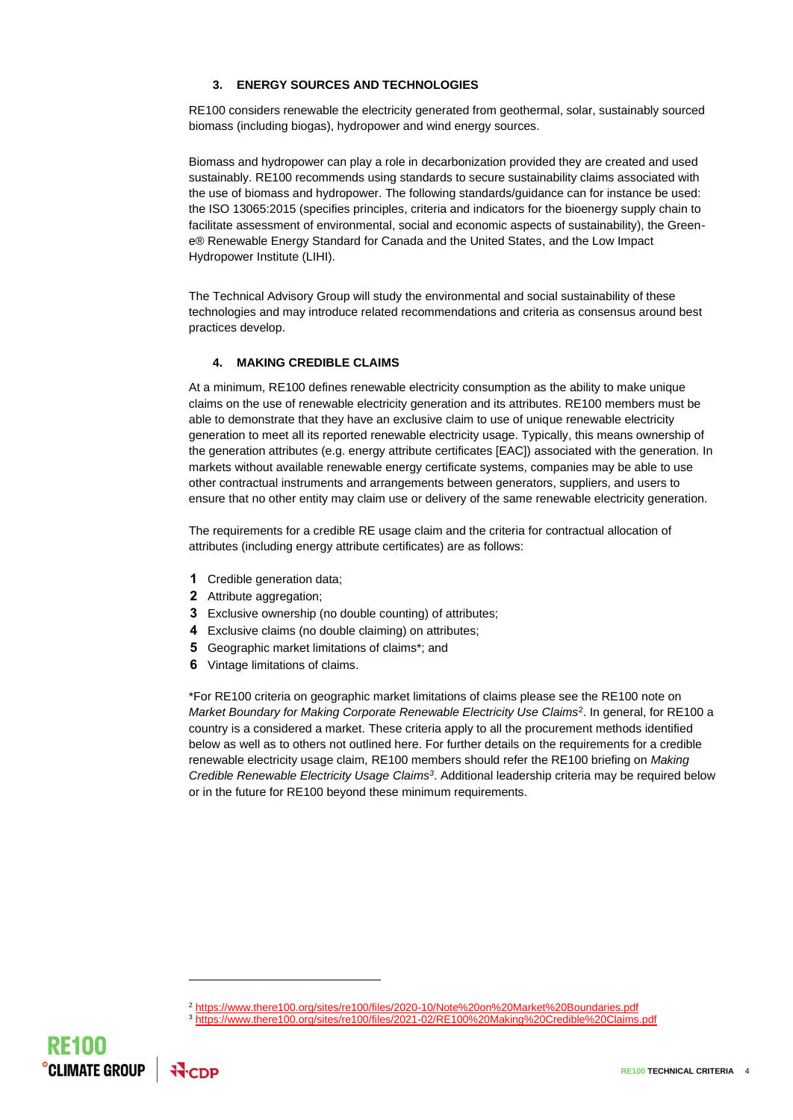#### **3. ENERGY SOURCES AND TECHNOLOGIES**

RE100 considers renewable the electricity generated from geothermal, solar, sustainably sourced biomass (including biogas), hydropower and wind energy sources.

Biomass and hydropower can play a role in decarbonization provided they are created and used sustainably. RE100 recommends using standards to secure sustainability claims associated with the use of biomass and hydropower. The following standards/guidance can for instance be used: the ISO 13065:2015 (specifies principles, criteria and indicators for the bioenergy supply chain to facilitate assessment of environmental, social and economic aspects of sustainability), the Greene® Renewable Energy Standard for Canada and the United States, and the Low Impact Hydropower Institute (LIHI).

The Technical Advisory Group will study the environmental and social sustainability of these technologies and may introduce related recommendations and criteria as consensus around best practices develop.

#### **4. MAKING CREDIBLE CLAIMS**

At a minimum, RE100 defines renewable electricity consumption as the ability to make unique claims on the use of renewable electricity generation and its attributes. RE100 members must be able to demonstrate that they have an exclusive claim to use of unique renewable electricity generation to meet all its reported renewable electricity usage. Typically, this means ownership of the generation attributes (e.g. energy attribute certificates [EAC]) associated with the generation. In markets without available renewable energy certificate systems, companies may be able to use other contractual instruments and arrangements between generators, suppliers, and users to ensure that no other entity may claim use or delivery of the same renewable electricity generation.

The requirements for a credible RE usage claim and the criteria for contractual allocation of attributes (including energy attribute certificates) are as follows:

- **1** Credible generation data;
- **2** Attribute aggregation;
- **3** Exclusive ownership (no double counting) of attributes;
- **4** Exclusive claims (no double claiming) on attributes;
- **5** Geographic market limitations of claims\*; and
- **6** Vintage limitations of claims.

\*For RE100 criteria on geographic market limitations of claims please see the RE100 note on *Market Boundary for Making Corporate Renewable Electricity Use Claims*<sup>2</sup> . In general, for RE100 a country is a considered a market. These criteria apply to all the procurement methods identified below as well as to others not outlined here. For further details on the requirements for a credible renewable electricity usage claim, RE100 members should refer the RE100 briefing on *Making Credible Renewable Electricity Usage Claims<sup>3</sup>* . Additional leadership criteria may be required below or in the future for RE100 beyond these minimum requirements.

<sup>3</sup> <https://www.there100.org/sites/re100/files/2021-02/RE100%20Making%20Credible%20Claims.pdf>



<sup>2</sup> <https://www.there100.org/sites/re100/files/2020-10/Note%20on%20Market%20Boundaries.pdf>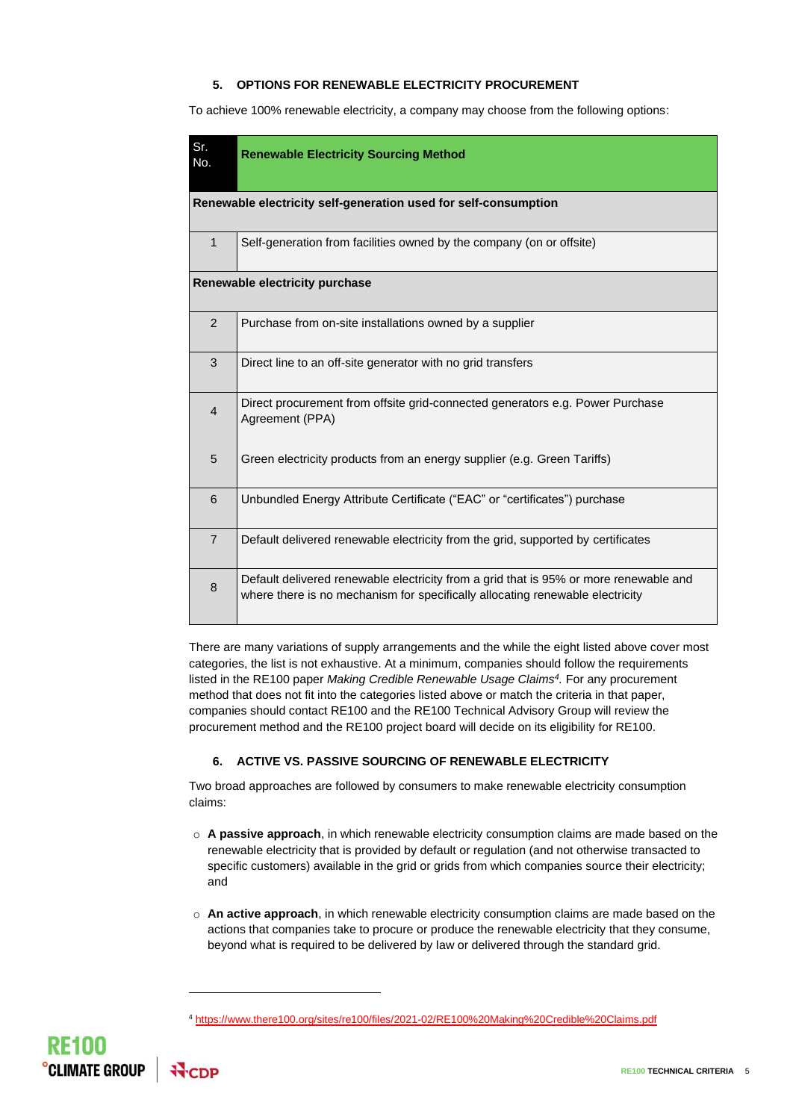#### **5. OPTIONS FOR RENEWABLE ELECTRICITY PROCUREMENT**

To achieve 100% renewable electricity, a company may choose from the following options:

| Sr.<br>No.                                                      | <b>Renewable Electricity Sourcing Method</b>                                                                                                                           |  |  |  |
|-----------------------------------------------------------------|------------------------------------------------------------------------------------------------------------------------------------------------------------------------|--|--|--|
| Renewable electricity self-generation used for self-consumption |                                                                                                                                                                        |  |  |  |
| $\mathbf{1}$                                                    | Self-generation from facilities owned by the company (on or offsite)                                                                                                   |  |  |  |
|                                                                 | Renewable electricity purchase                                                                                                                                         |  |  |  |
| $\overline{2}$                                                  | Purchase from on-site installations owned by a supplier                                                                                                                |  |  |  |
| 3                                                               | Direct line to an off-site generator with no grid transfers                                                                                                            |  |  |  |
| $\overline{4}$                                                  | Direct procurement from offsite grid-connected generators e.g. Power Purchase<br>Agreement (PPA)                                                                       |  |  |  |
| 5                                                               | Green electricity products from an energy supplier (e.g. Green Tariffs)                                                                                                |  |  |  |
| 6                                                               | Unbundled Energy Attribute Certificate ("EAC" or "certificates") purchase                                                                                              |  |  |  |
| $\overline{7}$                                                  | Default delivered renewable electricity from the grid, supported by certificates                                                                                       |  |  |  |
| 8                                                               | Default delivered renewable electricity from a grid that is 95% or more renewable and<br>where there is no mechanism for specifically allocating renewable electricity |  |  |  |

There are many variations of supply arrangements and the while the eight listed above cover most categories, the list is not exhaustive. At a minimum, companies should follow the requirements listed in the RE100 paper *Making Credible Renewable Usage Claims<sup>4</sup> .* For any procurement method that does not fit into the categories listed above or match the criteria in that paper, companies should contact RE100 and the RE100 Technical Advisory Group will review the procurement method and the RE100 project board will decide on its eligibility for RE100.

#### **6. ACTIVE VS. PASSIVE SOURCING OF RENEWABLE ELECTRICITY**

Two broad approaches are followed by consumers to make renewable electricity consumption claims:

- o **A passive approach**, in which renewable electricity consumption claims are made based on the renewable electricity that is provided by default or regulation (and not otherwise transacted to specific customers) available in the grid or grids from which companies source their electricity; and
- o **An active approach**, in which renewable electricity consumption claims are made based on the actions that companies take to procure or produce the renewable electricity that they consume, beyond what is required to be delivered by law or delivered through the standard grid.



<sup>4</sup> <https://www.there100.org/sites/re100/files/2021-02/RE100%20Making%20Credible%20Claims.pdf>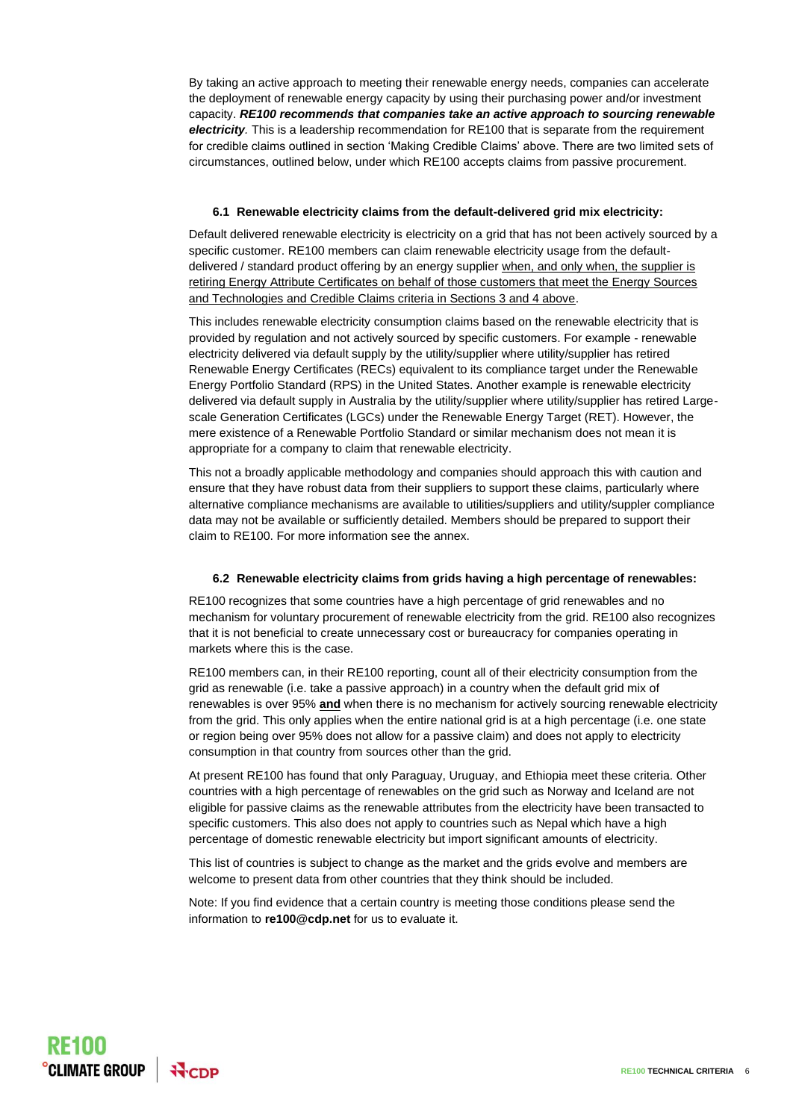By taking an active approach to meeting their renewable energy needs, companies can accelerate the deployment of renewable energy capacity by using their purchasing power and/or investment capacity. *RE100 recommends that companies take an active approach to sourcing renewable electricity.* This is a leadership recommendation for RE100 that is separate from the requirement for credible claims outlined in section 'Making Credible Claims' above. There are two limited sets of circumstances, outlined below, under which RE100 accepts claims from passive procurement.

#### **6.1 Renewable electricity claims from the default-delivered grid mix electricity:**

Default delivered renewable electricity is electricity on a grid that has not been actively sourced by a specific customer. RE100 members can claim renewable electricity usage from the defaultdelivered / standard product offering by an energy supplier when, and only when, the supplier is retiring Energy Attribute Certificates on behalf of those customers that meet the Energy Sources and Technologies and Credible Claims criteria in Sections 3 and 4 above.

This includes renewable electricity consumption claims based on the renewable electricity that is provided by regulation and not actively sourced by specific customers. For example - renewable electricity delivered via default supply by the utility/supplier where utility/supplier has retired Renewable Energy Certificates (RECs) equivalent to its compliance target under the Renewable Energy Portfolio Standard (RPS) in the United States. Another example is renewable electricity delivered via default supply in Australia by the utility/supplier where utility/supplier has retired Largescale Generation Certificates (LGCs) under the Renewable Energy Target (RET). However, the mere existence of a Renewable Portfolio Standard or similar mechanism does not mean it is appropriate for a company to claim that renewable electricity.

This not a broadly applicable methodology and companies should approach this with caution and ensure that they have robust data from their suppliers to support these claims, particularly where alternative compliance mechanisms are available to utilities/suppliers and utility/suppler compliance data may not be available or sufficiently detailed. Members should be prepared to support their claim to RE100. For more information see the annex.

#### **6.2 Renewable electricity claims from grids having a high percentage of renewables:**

RE100 recognizes that some countries have a high percentage of grid renewables and no mechanism for voluntary procurement of renewable electricity from the grid. RE100 also recognizes that it is not beneficial to create unnecessary cost or bureaucracy for companies operating in markets where this is the case.

RE100 members can, in their RE100 reporting, count all of their electricity consumption from the grid as renewable (i.e. take a passive approach) in a country when the default grid mix of renewables is over 95% **and** when there is no mechanism for actively sourcing renewable electricity from the grid. This only applies when the entire national grid is at a high percentage (i.e. one state or region being over 95% does not allow for a passive claim) and does not apply to electricity consumption in that country from sources other than the grid.

At present RE100 has found that only Paraguay, Uruguay, and Ethiopia meet these criteria. Other countries with a high percentage of renewables on the grid such as Norway and Iceland are not eligible for passive claims as the renewable attributes from the electricity have been transacted to specific customers. This also does not apply to countries such as Nepal which have a high percentage of domestic renewable electricity but import significant amounts of electricity.

This list of countries is subject to change as the market and the grids evolve and members are welcome to present data from other countries that they think should be included.

Note: If you find evidence that a certain country is meeting those conditions please send the information to **re100@cdp.net** for us to evaluate it.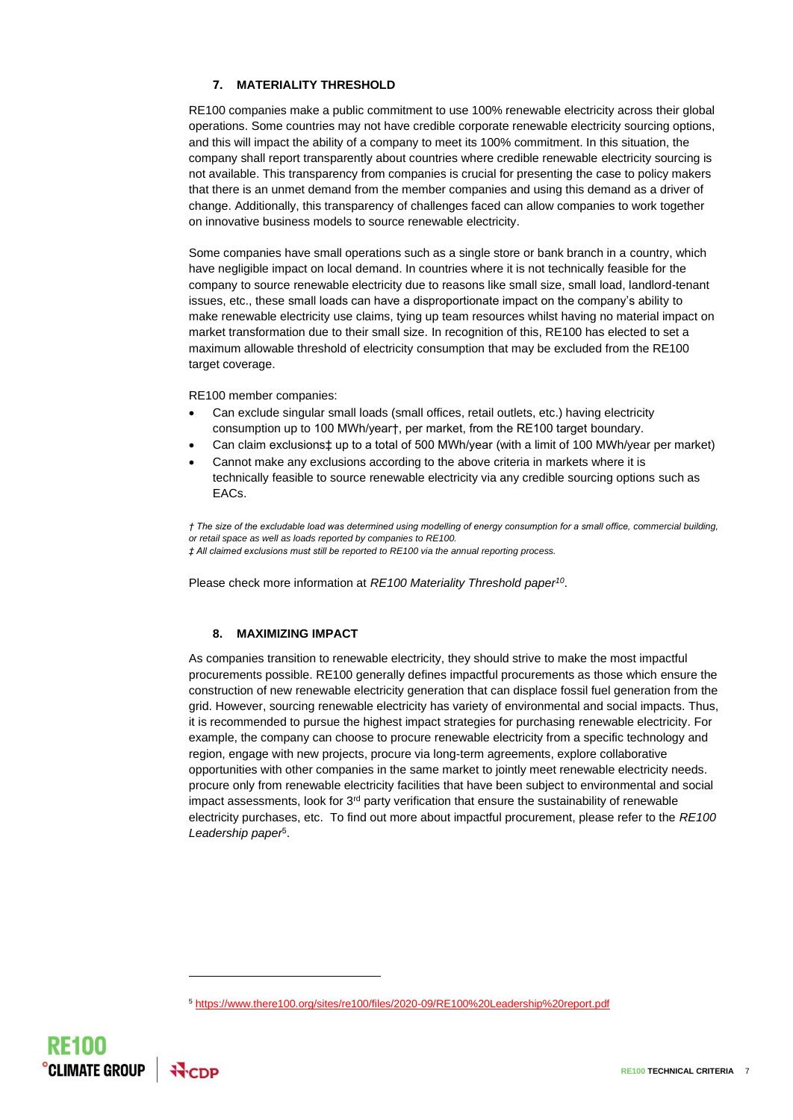#### **7. MATERIALITY THRESHOLD**

RE100 companies make a public commitment to use 100% renewable electricity across their global operations. Some countries may not have credible corporate renewable electricity sourcing options, and this will impact the ability of a company to meet its 100% commitment. In this situation, the company shall report transparently about countries where credible renewable electricity sourcing is not available. This transparency from companies is crucial for presenting the case to policy makers that there is an unmet demand from the member companies and using this demand as a driver of change. Additionally, this transparency of challenges faced can allow companies to work together on innovative business models to source renewable electricity.

Some companies have small operations such as a single store or bank branch in a country, which have negligible impact on local demand. In countries where it is not technically feasible for the company to source renewable electricity due to reasons like small size, small load, landlord-tenant issues, etc., these small loads can have a disproportionate impact on the company's ability to make renewable electricity use claims, tying up team resources whilst having no material impact on market transformation due to their small size. In recognition of this, RE100 has elected to set a maximum allowable threshold of electricity consumption that may be excluded from the RE100 target coverage.

RE100 member companies:

- Can exclude singular small loads (small offices, retail outlets, etc.) having electricity consumption up to 100 MWh/year†, per market, from the RE100 target boundary.
- Can claim exclusions‡ up to a total of 500 MWh/year (with a limit of 100 MWh/year per market)
- Cannot make any exclusions according to the above criteria in markets where it is technically feasible to source renewable electricity via any credible sourcing options such as EACs.

*† The size of the excludable load was determined using modelling of energy consumption for a small office, commercial building, or retail space as well as loads reported by companies to RE100.*

*‡ All claimed exclusions must still be reported to RE100 via the annual reporting process.*

Please check more information at *RE100 Materiality Threshold paper<sup>10</sup>* .

#### **8. MAXIMIZING IMPACT**

As companies transition to renewable electricity, they should strive to make the most impactful procurements possible. RE100 generally defines impactful procurements as those which ensure the construction of new renewable electricity generation that can displace fossil fuel generation from the grid. However, sourcing renewable electricity has variety of environmental and social impacts. Thus, it is recommended to pursue the highest impact strategies for purchasing renewable electricity. For example, the company can choose to procure renewable electricity from a specific technology and region, engage with new projects, procure via long-term agreements, explore collaborative opportunities with other companies in the same market to jointly meet renewable electricity needs. procure only from renewable electricity facilities that have been subject to environmental and social impact assessments, look for  $3<sup>rd</sup>$  party verification that ensure the sustainability of renewable electricity purchases, etc. To find out more about impactful procurement, please refer to the *[RE100](http://media.virbcdn.com/files/32/04381ad90e183b1c-RE100LeadershipPaper.pdf)  [Leadership paper](http://media.virbcdn.com/files/32/04381ad90e183b1c-RE100LeadershipPaper.pdf)*<sup>5</sup> .

<sup>5</sup> <https://www.there100.org/sites/re100/files/2020-09/RE100%20Leadership%20report.pdf>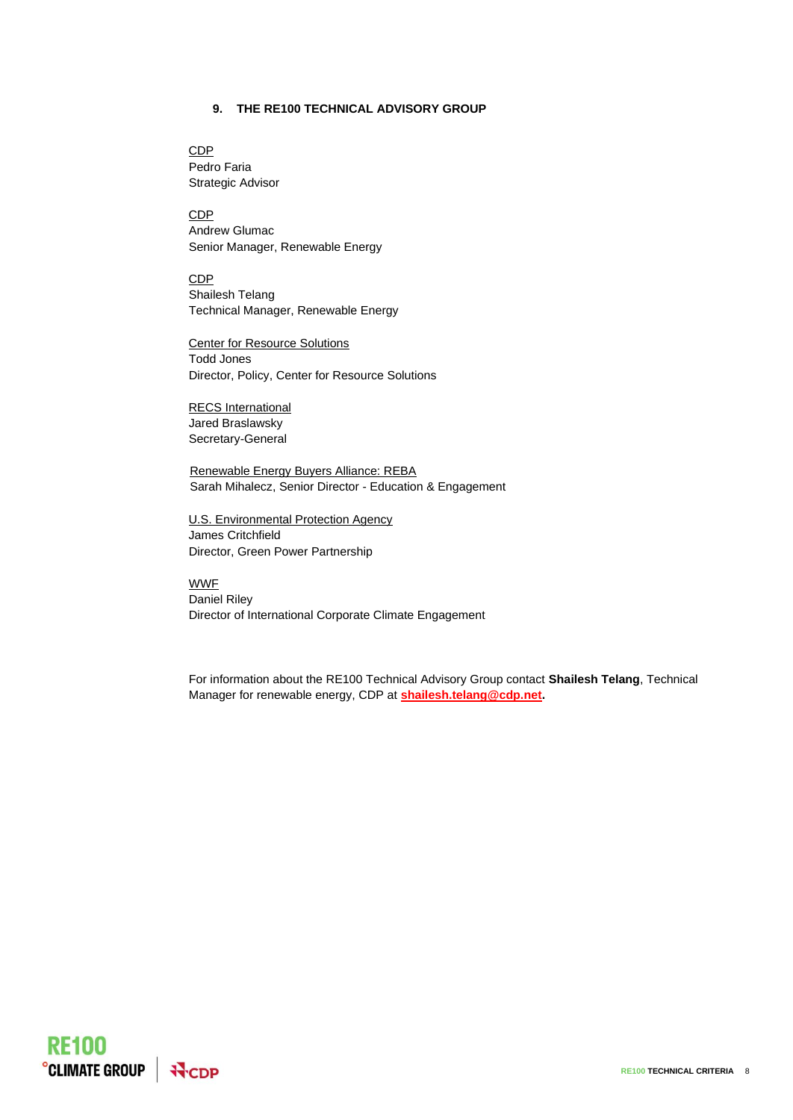#### **9. THE RE100 TECHNICAL ADVISORY GROUP**

CDP Pedro Faria Strategic Advisor

CDP Andrew Glumac Senior Manager, Renewable Energy

CDP Shailesh Telang Technical Manager, Renewable Energy

Center for Resource Solutions Todd Jones Director, Policy, Center for Resource Solutions

RECS International Jared Braslawsky Secretary-General

Renewable Energy Buyers Alliance: REBA Sarah Mihalecz, Senior Director - Education & Engagement

U.S. Environmental Protection Agency James Critchfield Director, Green Power Partnership

**WWF** Daniel Riley Director of International Corporate Climate Engagement

For information about the RE100 Technical Advisory Group contact **Shailesh Telang**, Technical Manager for renewable energy, CDP at **[shailesh.telang@cdp.net.](mailto:shailesh.telang@cdp.net)**

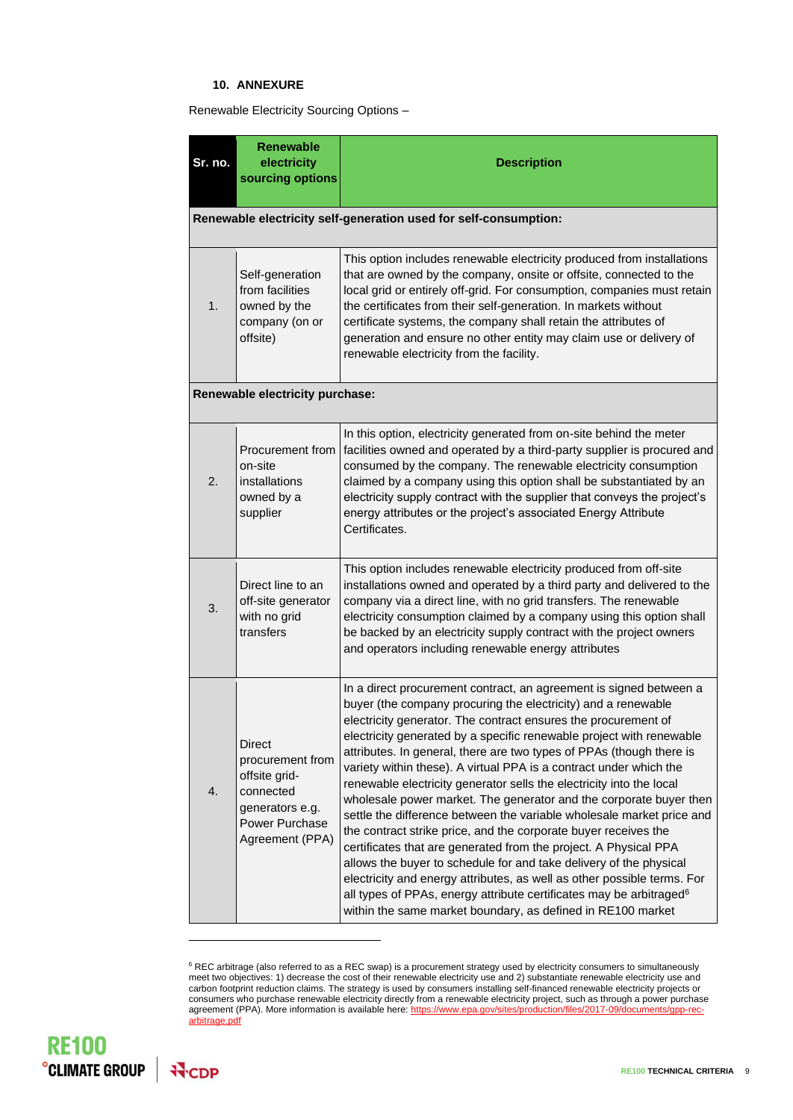#### **10. ANNEXURE**

Renewable Electricity Sourcing Options –

| Sr. no.                                                          | <b>Renewable</b><br>electricity<br>sourcing options                                                                     | <b>Description</b>                                                                                                                                                                                                                                                                                                                                                                                                                                                                                                                                                                                                                                                                                                                                                                                                                                                                                                                                                                                                                                                                           |  |  |
|------------------------------------------------------------------|-------------------------------------------------------------------------------------------------------------------------|----------------------------------------------------------------------------------------------------------------------------------------------------------------------------------------------------------------------------------------------------------------------------------------------------------------------------------------------------------------------------------------------------------------------------------------------------------------------------------------------------------------------------------------------------------------------------------------------------------------------------------------------------------------------------------------------------------------------------------------------------------------------------------------------------------------------------------------------------------------------------------------------------------------------------------------------------------------------------------------------------------------------------------------------------------------------------------------------|--|--|
| Renewable electricity self-generation used for self-consumption: |                                                                                                                         |                                                                                                                                                                                                                                                                                                                                                                                                                                                                                                                                                                                                                                                                                                                                                                                                                                                                                                                                                                                                                                                                                              |  |  |
| 1.                                                               | Self-generation<br>from facilities<br>owned by the<br>company (on or<br>offsite)                                        | This option includes renewable electricity produced from installations<br>that are owned by the company, onsite or offsite, connected to the<br>local grid or entirely off-grid. For consumption, companies must retain<br>the certificates from their self-generation. In markets without<br>certificate systems, the company shall retain the attributes of<br>generation and ensure no other entity may claim use or delivery of<br>renewable electricity from the facility.                                                                                                                                                                                                                                                                                                                                                                                                                                                                                                                                                                                                              |  |  |
| Renewable electricity purchase:                                  |                                                                                                                         |                                                                                                                                                                                                                                                                                                                                                                                                                                                                                                                                                                                                                                                                                                                                                                                                                                                                                                                                                                                                                                                                                              |  |  |
| 2.                                                               | Procurement from<br>on-site<br>installations<br>owned by a<br>supplier                                                  | In this option, electricity generated from on-site behind the meter<br>facilities owned and operated by a third-party supplier is procured and<br>consumed by the company. The renewable electricity consumption<br>claimed by a company using this option shall be substantiated by an<br>electricity supply contract with the supplier that conveys the project's<br>energy attributes or the project's associated Energy Attribute<br>Certificates.                                                                                                                                                                                                                                                                                                                                                                                                                                                                                                                                                                                                                                       |  |  |
| 3.                                                               | Direct line to an<br>off-site generator<br>with no grid<br>transfers                                                    | This option includes renewable electricity produced from off-site<br>installations owned and operated by a third party and delivered to the<br>company via a direct line, with no grid transfers. The renewable<br>electricity consumption claimed by a company using this option shall<br>be backed by an electricity supply contract with the project owners<br>and operators including renewable energy attributes                                                                                                                                                                                                                                                                                                                                                                                                                                                                                                                                                                                                                                                                        |  |  |
| 4.                                                               | <b>Direct</b><br>procurement from<br>offsite grid-<br>connected<br>generators e.g.<br>Power Purchase<br>Agreement (PPA) | In a direct procurement contract, an agreement is signed between a<br>buyer (the company procuring the electricity) and a renewable<br>electricity generator. The contract ensures the procurement of<br>electricity generated by a specific renewable project with renewable<br>attributes. In general, there are two types of PPAs (though there is<br>variety within these). A virtual PPA is a contract under which the<br>renewable electricity generator sells the electricity into the local<br>wholesale power market. The generator and the corporate buyer then<br>settle the difference between the variable wholesale market price and<br>the contract strike price, and the corporate buyer receives the<br>certificates that are generated from the project. A Physical PPA<br>allows the buyer to schedule for and take delivery of the physical<br>electricity and energy attributes, as well as other possible terms. For<br>all types of PPAs, energy attribute certificates may be arbitraged <sup>6</sup><br>within the same market boundary, as defined in RE100 market |  |  |

 $6$  REC arbitrage (also referred to as a REC swap) is a procurement strategy used by electricity consumers to simultaneously meet two objectives: 1) decrease the cost of their renewable electricity use and 2) substantiate renewable electricity use and carbon footprint reduction claims. The strategy is used by consumers installing self-financed renewable electricity projects or consumers who purchase renewable electricity directly from a renewable electricity project, such as through a power purchase agreement (PPA). More information is available here[: https://www.epa.gov/sites/production/files/2017-09/documents/gpp-rec](https://www.epa.gov/sites/production/files/2017-09/documents/gpp-rec-arbitrage.pdf)[arbitrage.pdf](https://www.epa.gov/sites/production/files/2017-09/documents/gpp-rec-arbitrage.pdf)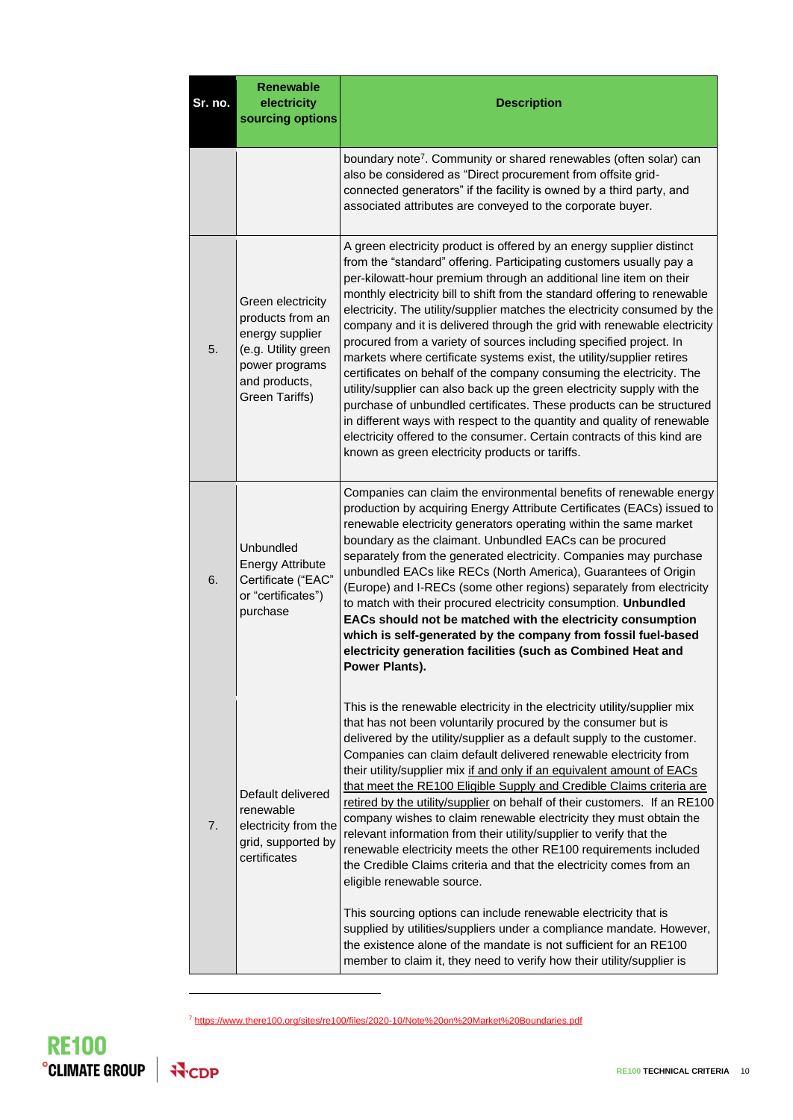| Sr. no. | <b>Renewable</b><br>electricity<br>sourcing options                                                                                  | <b>Description</b>                                                                                                                                                                                                                                                                                                                                                                                                                                                                                                                                                                                                                                                                                                                                                                                                                                                                                                                                                                                                                                                                                                                      |
|---------|--------------------------------------------------------------------------------------------------------------------------------------|-----------------------------------------------------------------------------------------------------------------------------------------------------------------------------------------------------------------------------------------------------------------------------------------------------------------------------------------------------------------------------------------------------------------------------------------------------------------------------------------------------------------------------------------------------------------------------------------------------------------------------------------------------------------------------------------------------------------------------------------------------------------------------------------------------------------------------------------------------------------------------------------------------------------------------------------------------------------------------------------------------------------------------------------------------------------------------------------------------------------------------------------|
|         |                                                                                                                                      | boundary note <sup>7</sup> . Community or shared renewables (often solar) can<br>also be considered as "Direct procurement from offsite grid-<br>connected generators" if the facility is owned by a third party, and<br>associated attributes are conveyed to the corporate buyer.                                                                                                                                                                                                                                                                                                                                                                                                                                                                                                                                                                                                                                                                                                                                                                                                                                                     |
| 5.      | Green electricity<br>products from an<br>energy supplier<br>(e.g. Utility green<br>power programs<br>and products,<br>Green Tariffs) | A green electricity product is offered by an energy supplier distinct<br>from the "standard" offering. Participating customers usually pay a<br>per-kilowatt-hour premium through an additional line item on their<br>monthly electricity bill to shift from the standard offering to renewable<br>electricity. The utility/supplier matches the electricity consumed by the<br>company and it is delivered through the grid with renewable electricity<br>procured from a variety of sources including specified project. In<br>markets where certificate systems exist, the utility/supplier retires<br>certificates on behalf of the company consuming the electricity. The<br>utility/supplier can also back up the green electricity supply with the<br>purchase of unbundled certificates. These products can be structured<br>in different ways with respect to the quantity and quality of renewable<br>electricity offered to the consumer. Certain contracts of this kind are<br>known as green electricity products or tariffs.                                                                                              |
| 6.      | <b>Unbundled</b><br><b>Energy Attribute</b><br>Certificate ("EAC"<br>or "certificates")<br>purchase                                  | Companies can claim the environmental benefits of renewable energy<br>production by acquiring Energy Attribute Certificates (EACs) issued to<br>renewable electricity generators operating within the same market<br>boundary as the claimant. Unbundled EACs can be procured<br>separately from the generated electricity. Companies may purchase<br>unbundled EACs like RECs (North America), Guarantees of Origin<br>(Europe) and I-RECs (some other regions) separately from electricity<br>to match with their procured electricity consumption. Unbundled<br>EACs should not be matched with the electricity consumption<br>which is self-generated by the company from fossil fuel-based<br>electricity generation facilities (such as Combined Heat and<br>Power Plants).                                                                                                                                                                                                                                                                                                                                                       |
| 7.      | Default delivered<br>renewable<br>electricity from the<br>grid, supported by<br>certificates                                         | This is the renewable electricity in the electricity utility/supplier mix<br>that has not been voluntarily procured by the consumer but is<br>delivered by the utility/supplier as a default supply to the customer.<br>Companies can claim default delivered renewable electricity from<br>their utility/supplier mix if and only if an equivalent amount of EACs<br>that meet the RE100 Eligible Supply and Credible Claims criteria are<br>retired by the utility/supplier on behalf of their customers. If an RE100<br>company wishes to claim renewable electricity they must obtain the<br>relevant information from their utility/supplier to verify that the<br>renewable electricity meets the other RE100 requirements included<br>the Credible Claims criteria and that the electricity comes from an<br>eligible renewable source.<br>This sourcing options can include renewable electricity that is<br>supplied by utilities/suppliers under a compliance mandate. However,<br>the existence alone of the mandate is not sufficient for an RE100<br>member to claim it, they need to verify how their utility/supplier is |

<sup>7</sup> <https://www.there100.org/sites/re100/files/2020-10/Note%20on%20Market%20Boundaries.pdf>